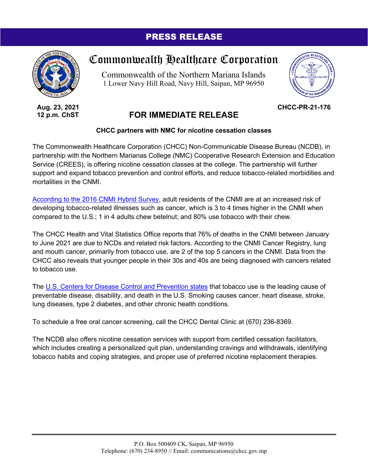## PRESS RELEASE



**Aug. 23, 2021 12 p.m. ChST**

## Commonwealth Healthcare Corporation

Commonwealth of the Northern Mariana Islands 1 Lower Navy Hill Road, Navy Hill, Saipan, MP 96950



**CHCC-PR-21-176**

## **FOR IMMEDIATE RELEASE**

## **CHCC partners with NMC for nicotine cessation classes**

The Commonwealth Healthcare Corporation (CHCC) Non-Communicable Disease Bureau (NCDB), in partnership with the Northern Marianas College (NMC) Cooperative Research Extension and Education Service (CREES), is offering nicotine cessation classes at the college. The partnership will further support and expand tobacco prevention and control efforts, and reduce tobacco-related morbidities and mortalities in the CNMI.

[According to the 2016 CNMI Hybrid Survey,](https://ver1.cnmicommerce.com/wp-content/uploads/2017/04/CNMI-NCD-Survey-Report-FINAL-2017.pdf) adult residents of the CNMI are at an increased risk of developing tobacco-related illnesses such as cancer, which is 3 to 4 times higher in the CNMI when compared to the U.S.; 1 in 4 adults chew betelnut; and 80% use tobacco with their chew.

The CHCC Health and Vital Statistics Office reports that 76% of deaths in the CNMI between January to June 2021 are due to NCDs and related risk factors. According to the CNMI Cancer Registry, lung and mouth cancer, primarily from tobacco use, are 2 of the top 5 cancers in the CNMI. Data from the CHCC also reveals that younger people in their 30s and 40s are being diagnosed with cancers related to tobacco use.

The [U.S. Centers for Disease Control and Prevention states](https://www.cdc.gov/chronicdisease/resources/publications/factsheets/tobacco.htm) that tobacco use is the leading cause of preventable disease, disability, and death in the U.S. Smoking causes cancer, heart disease, stroke, lung diseases, type 2 diabetes, and other chronic health conditions.

To schedule a free oral cancer screening, call the CHCC Dental Clinic at (670) 236-8369.

The NCDB also offers nicotine cessation services with support from certified cessation facilitators, which includes creating a personalized quit plan, understanding cravings and withdrawals, identifying tobacco habits and coping strategies, and proper use of preferred nicotine replacement therapies.